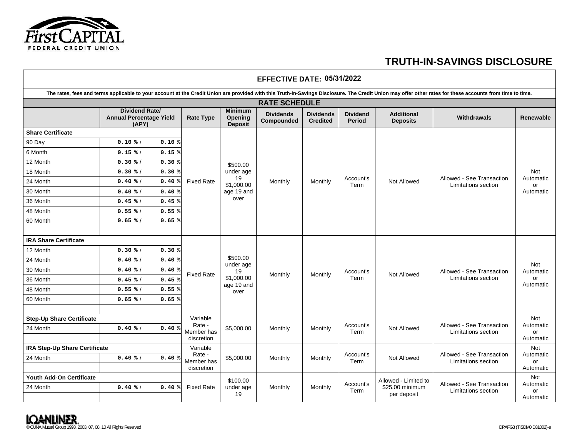

## **EFFECTIVE DATE: 05/31/2022**The rates, fees and terms applicable to your account at the Credit Union are provided with this Truth-in-Savings Disclosure. The Credit Union may offer other rates for these accounts from time to time. **RATE SCHEDULE Dividend Rate/ Annual Percentage Yield (APY) Rate Type Minimum Opening Deposit Dividends Compounded Dividends Credited Dividend Period Additional Renewable Construction Construction Construction Construction Construction Properties Renewable Share Certificate** Fixed Rate \$500.00 under age 19 \$1,000.00 age 19 and over Monthly Monthly Account's Not Allowed Allowed See Transaction<br>
Term Not Allowed Limitations section Not Automatic or Automatic 90 Day / **0.10 0.10** 6 Month / **0.15**12 Month / **0.30**18 Month / **0.30**24 Month / **0.40**30 Month / **0.40**36 Month / **0.45**48 Month / **0.55**60 Month / **IRA Share Certificate** Fixed Rate \$500.00 under age 19 \$1,000.00 age 19 and over Monthly Monthly Account's Not Allowed Allowed See Transaction Not Automatic or Automatic 12 Month / **0.30**24 Month / **0.40 0.40** 30 Month / 36 Month 48 Month / **0.55**60 Month / **0.65 0.65 Step-Up Share Certificate Variable Variable** Rate - Member has discretion  $$5,000.00$  Monthly Monthly Account's Not Allowed Allowed See Transaction Limitations section Not Automatic or Automatic 24 Month **IRA Step-Up Share Certificate Variable** Variable Rate - Member has discretion \$5,000.00 Monthly Monthly Account's Not Allowed Allowed See Transaction<br>Term Not Allowed Limitations section Not Automatic or Automatic 24 Month **Youth Add-On Certificate** Fixed Rate \$100.00 under age 19 Vouth Add-On Certificate<br>24 Month **24 Month 19** Monthly Monthly Monthly Monthly Account's Allowed - Limited to Allowed - See Transaction Automatic Case of Automatic Case of Automatic Under age Monthly Monthly Term per depo **0.15 0.30 0.30 0.40 0.40 0.45 0.55 0.65 0.65 0.30 0.40 0.40 0.45 0.45 0.55 0.40 0.40 0.40 0.40 0.40% % % % % % % % % % % % % % % % % % % % % % % % % % % % % % % % % % % 0.40 %**

**TRUTH-IN-SAVINGS DISCLOSURE**